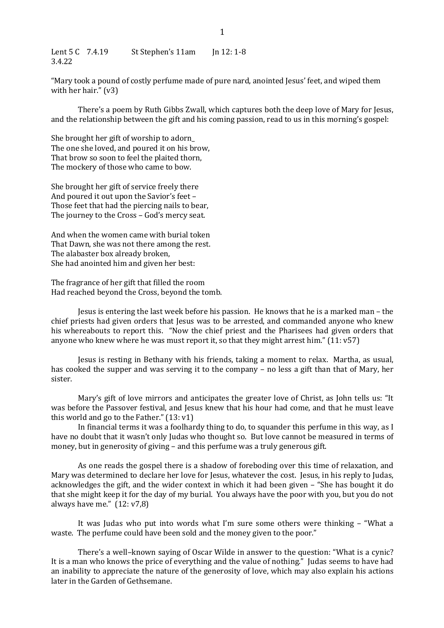Lent 5 C 7.4.19 St Stephen's 11am Jn 12: 1-8 3.4.22 

"Mary took a pound of costly perfume made of pure nard, anointed Jesus' feet, and wiped them with her hair."  $(v3)$ 

There's a poem by Ruth Gibbs Zwall, which captures both the deep love of Mary for Jesus, and the relationship between the gift and his coming passion, read to us in this morning's gospel:

She brought her gift of worship to adorn The one she loved, and poured it on his brow, That brow so soon to feel the plaited thorn, The mockery of those who came to bow.

She brought her gift of service freely there And poured it out upon the Savior's feet -Those feet that had the piercing nails to bear, The journey to the Cross - God's mercy seat.

And when the women came with burial token That Dawn, she was not there among the rest. The alabaster box already broken, She had anointed him and given her best:

The fragrance of her gift that filled the room Had reached beyond the Cross, beyond the tomb.

Jesus is entering the last week before his passion. He knows that he is a marked man – the chief priests had given orders that Jesus was to be arrested, and commanded anyone who knew his whereabouts to report this. "Now the chief priest and the Pharisees had given orders that anyone who knew where he was must report it, so that they might arrest him."  $(11: v57)$ 

Jesus is resting in Bethany with his friends, taking a moment to relax. Martha, as usual, has cooked the supper and was serving it to the company – no less a gift than that of Mary, her sister.

Mary's gift of love mirrors and anticipates the greater love of Christ, as John tells us: "It was before the Passover festival, and Jesus knew that his hour had come, and that he must leave this world and go to the Father."  $(13: v1)$ 

In financial terms it was a foolhardy thing to do, to squander this perfume in this way, as I have no doubt that it wasn't only Judas who thought so. But love cannot be measured in terms of money, but in generosity of giving - and this perfume was a truly generous gift.

As one reads the gospel there is a shadow of foreboding over this time of relaxation, and Mary was determined to declare her love for Jesus, whatever the cost. Jesus, in his reply to Judas, acknowledges the gift, and the wider context in which it had been given - "She has bought it do that she might keep it for the day of my burial. You always have the poor with you, but you do not always have me."  $(12: v7, 8)$ 

It was Judas who put into words what I'm sure some others were thinking – "What a waste. The perfume could have been sold and the money given to the poor."

There's a well–known saying of Oscar Wilde in answer to the question: "What is a cynic? It is a man who knows the price of everything and the value of nothing." Judas seems to have had an inability to appreciate the nature of the generosity of love, which may also explain his actions later in the Garden of Gethsemane.